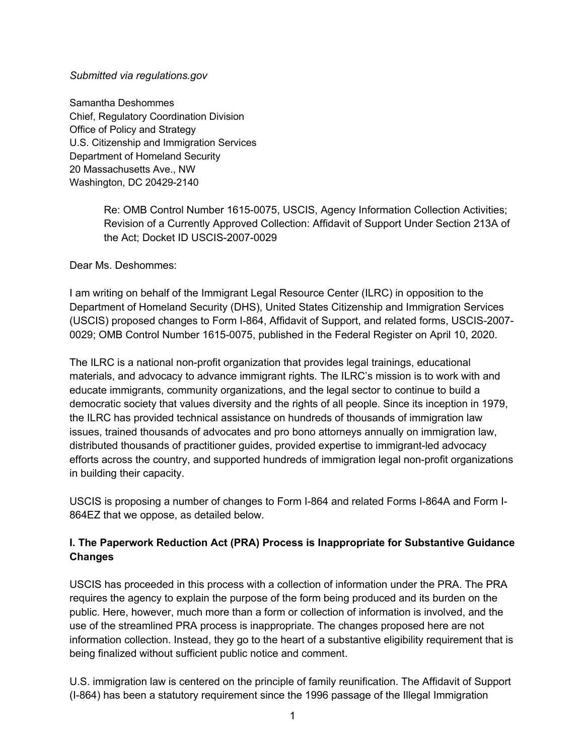#### *Submitted via regulations.gov*

Samantha Deshommes Chief, Regulatory Coordination Division Office of Policy and Strategy U.S. Citizenship and Immigration Services Department of Homeland Security 20 Massachusetts Ave., NW Washington, DC 20429-2140

> Re: OMB Control Number 1615-0075, USCIS, Agency Information Collection Activities; Revision of a Currently Approved Collection: Affidavit of Support Under Section 213A of the Act; Docket ID USCIS-2007-0029

Dear Ms. Deshommes:

I am writing on behalf of the Immigrant Legal Resource Center (ILRC) in opposition to the Department of Homeland Security (DHS), United States Citizenship and Immigration Services (USCIS) proposed changes to Form I-864, Affidavit of Support, and related forms, USCIS-2007- 0029; OMB Control Number 1615-0075, published in the Federal Register on April 10, 2020.

The ILRC is a national non-profit organization that provides legal trainings, educational materials, and advocacy to advance immigrant rights. The ILRC's mission is to work with and educate immigrants, community organizations, and the legal sector to continue to build a democratic society that values diversity and the rights of all people. Since its inception in 1979, the ILRC has provided technical assistance on hundreds of thousands of immigration law issues, trained thousands of advocates and pro bono attorneys annually on immigration law, distributed thousands of practitioner guides, provided expertise to immigrant-led advocacy efforts across the country, and supported hundreds of immigration legal non-profit organizations in building their capacity.

USCIS is proposing a number of changes to Form I-864 and related Forms I-864A and Form I-864EZ that we oppose, as detailed below.

## **I. The Paperwork Reduction Act (PRA) Process is Inappropriate for Substantive Guidance Changes**

USCIS has proceeded in this process with a collection of information under the PRA. The PRA requires the agency to explain the purpose of the form being produced and its burden on the public. Here, however, much more than a form or collection of information is involved, and the use of the streamlined PRA process is inappropriate. The changes proposed here are not information collection. Instead, they go to the heart of a substantive eligibility requirement that is being finalized without sufficient public notice and comment.

U.S. immigration law is centered on the principle of family reunification. The Affidavit of Support (I-864) has been a statutory requirement since the 1996 passage of the Illegal Immigration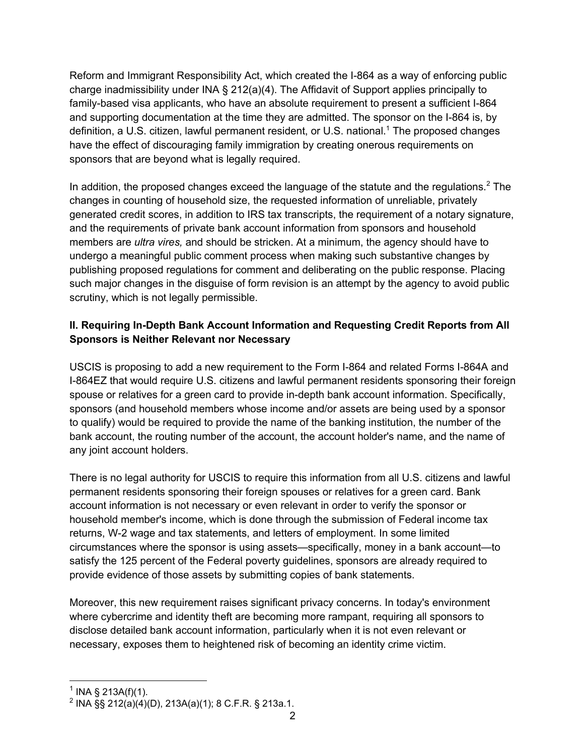Reform and Immigrant Responsibility Act, which created the I-864 as a way of enforcing public charge inadmissibility under INA § 212(a)(4). The Affidavit of Support applies principally to family-based visa applicants, who have an absolute requirement to present a sufficient I-864 and supporting documentation at the time they are admitted. The sponsor on the I-864 is, by definition, a U.S. citizen, lawful permanent resident, or U.S. national.<sup>1</sup> The proposed changes have the effect of discouraging family immigration by creating onerous requirements on sponsors that are beyond what is legally required.

In addition, the proposed changes exceed the language of the statute and the regulations.<sup>2</sup> The changes in counting of household size, the requested information of unreliable, privately generated credit scores, in addition to IRS tax transcripts, the requirement of a notary signature, and the requirements of private bank account information from sponsors and household members are *ultra vires,* and should be stricken. At a minimum, the agency should have to undergo a meaningful public comment process when making such substantive changes by publishing proposed regulations for comment and deliberating on the public response. Placing such major changes in the disguise of form revision is an attempt by the agency to avoid public scrutiny, which is not legally permissible.

# **II. Requiring In-Depth Bank Account Information and Requesting Credit Reports from All Sponsors is Neither Relevant nor Necessary**

USCIS is proposing to add a new requirement to the Form I-864 and related Forms I-864A and I-864EZ that would require U.S. citizens and lawful permanent residents sponsoring their foreign spouse or relatives for a green card to provide in-depth bank account information. Specifically, sponsors (and household members whose income and/or assets are being used by a sponsor to qualify) would be required to provide the name of the banking institution, the number of the bank account, the routing number of the account, the account holder's name, and the name of any joint account holders.

There is no legal authority for USCIS to require this information from all U.S. citizens and lawful permanent residents sponsoring their foreign spouses or relatives for a green card. Bank account information is not necessary or even relevant in order to verify the sponsor or household member's income, which is done through the submission of Federal income tax returns, W-2 wage and tax statements, and letters of employment. In some limited circumstances where the sponsor is using assets—specifically, money in a bank account—to satisfy the 125 percent of the Federal poverty guidelines, sponsors are already required to provide evidence of those assets by submitting copies of bank statements.

Moreover, this new requirement raises significant privacy concerns. In today's environment where cybercrime and identity theft are becoming more rampant, requiring all sponsors to disclose detailed bank account information, particularly when it is not even relevant or necessary, exposes them to heightened risk of becoming an identity crime victim.

 $1$  INA § 213A(f)(1).

<sup>&</sup>lt;sup>2</sup> INA §§ 212(a)(4)(D), 213A(a)(1); 8 C.F.R. § 213a.1.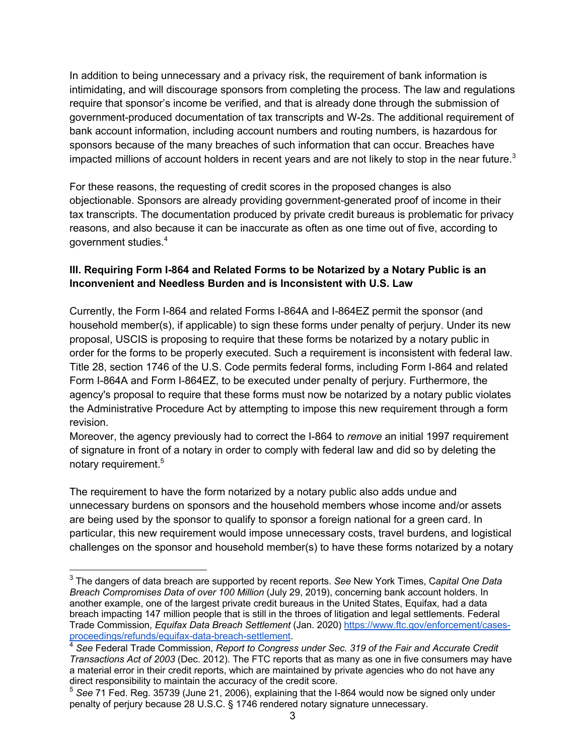In addition to being unnecessary and a privacy risk, the requirement of bank information is intimidating, and will discourage sponsors from completing the process. The law and regulations require that sponsor's income be verified, and that is already done through the submission of government-produced documentation of tax transcripts and W-2s. The additional requirement of bank account information, including account numbers and routing numbers, is hazardous for sponsors because of the many breaches of such information that can occur. Breaches have impacted millions of account holders in recent years and are not likely to stop in the near future.<sup>3</sup>

For these reasons, the requesting of credit scores in the proposed changes is also objectionable. Sponsors are already providing government-generated proof of income in their tax transcripts. The documentation produced by private credit bureaus is problematic for privacy reasons, and also because it can be inaccurate as often as one time out of five, according to government studies.<sup>4</sup>

#### **III. Requiring Form I-864 and Related Forms to be Notarized by a Notary Public is an Inconvenient and Needless Burden and is Inconsistent with U.S. Law**

Currently, the Form I-864 and related Forms I-864A and I-864EZ permit the sponsor (and household member(s), if applicable) to sign these forms under penalty of perjury. Under its new proposal, USCIS is proposing to require that these forms be notarized by a notary public in order for the forms to be properly executed. Such a requirement is inconsistent with federal law. Title 28, section 1746 of the U.S. Code permits federal forms, including Form I-864 and related Form I-864A and Form I-864EZ, to be executed under penalty of perjury. Furthermore, the agency's proposal to require that these forms must now be notarized by a notary public violates the Administrative Procedure Act by attempting to impose this new requirement through a form revision.

Moreover, the agency previously had to correct the I-864 to *remove* an initial 1997 requirement of signature in front of a notary in order to comply with federal law and did so by deleting the notary requirement.<sup>5</sup>

The requirement to have the form notarized by a notary public also adds undue and unnecessary burdens on sponsors and the household members whose income and/or assets are being used by the sponsor to qualify to sponsor a foreign national for a green card. In particular, this new requirement would impose unnecessary costs, travel burdens, and logistical challenges on the sponsor and household member(s) to have these forms notarized by a notary

<sup>3</sup> The dangers of data breach are supported by recent reports. *See* New York Times, C*apital One Data Breach Compromises Data of over 100 Million* (July 29, 2019), concerning bank account holders. In another example, one of the largest private credit bureaus in the United States, Equifax, had a data breach impacting 147 million people that is still in the throes of litigation and legal settlements. Federal Trade Commission, *Equifax Data Breach Settlement* (Jan. 2020) https://www.ftc.gov/enforcement/casesproceedings/refunds/equifax-data-breach-settlement.

<sup>4</sup> *See* Federal Trade Commission, *Report to Congress under Sec. 319 of the Fair and Accurate Credit Transactions Act of 2003* (Dec. 2012). The FTC reports that as many as one in five consumers may have a material error in their credit reports, which are maintained by private agencies who do not have any direct responsibility to maintain the accuracy of the credit score.

<sup>5</sup> *See* 71 Fed. Reg. 35739 (June 21, 2006), explaining that the I-864 would now be signed only under penalty of perjury because 28 U.S.C. § 1746 rendered notary signature unnecessary.